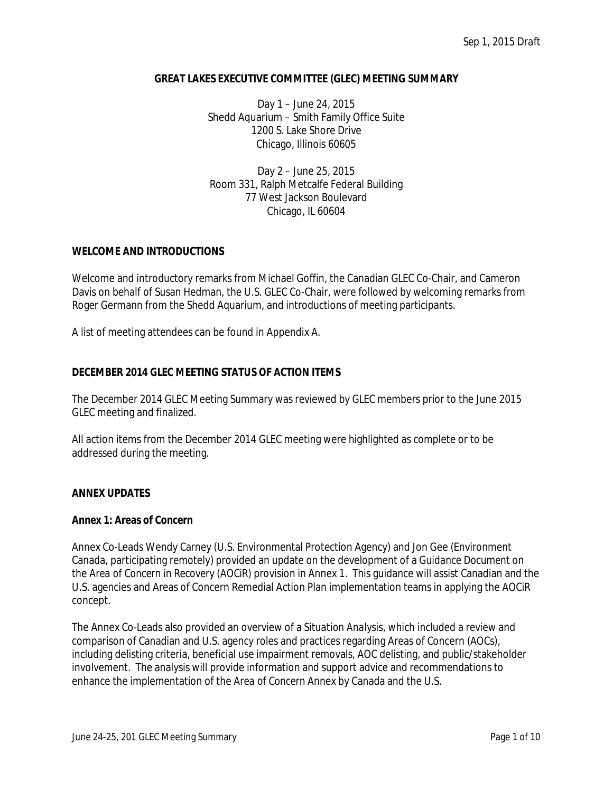## **GREAT LAKES EXECUTIVE COMMITTEE (GLEC) MEETING SUMMARY**

Day 1 – June 24, 2015 Shedd Aquarium – Smith Family Office Suite 1200 S. Lake Shore Drive Chicago, Illinois 60605

Day 2 – June 25, 2015 Room 331, Ralph Metcalfe Federal Building 77 West Jackson Boulevard Chicago, IL 60604

#### **WELCOME AND INTRODUCTIONS**

Welcome and introductory remarks from Michael Goffin, the Canadian GLEC Co-Chair, and Cameron Davis on behalf of Susan Hedman, the U.S. GLEC Co-Chair, were followed by welcoming remarks from Roger Germann from the Shedd Aquarium, and introductions of meeting participants.

A list of meeting attendees can be found in Appendix A.

## **DECEMBER 2014 GLEC MEETING STATUS OF ACTION ITEMS**

The December 2014 GLEC Meeting Summary was reviewed by GLEC members prior to the June 2015 GLEC meeting and finalized.

All action items from the December 2014 GLEC meeting were highlighted as complete or to be addressed during the meeting.

#### **ANNEX UPDATES**

#### **Annex 1: Areas of Concern**

Annex Co-Leads Wendy Carney (U.S. Environmental Protection Agency) and Jon Gee (Environment Canada, participating remotely) provided an update on the development of a *Guidance Document* on the *Area of Concern in Recovery (AOCiR)* provision in Annex 1. This guidance will assist Canadian and the U.S. agencies and Areas of Concern Remedial Action Plan implementation teams in applying the AOCiR concept.

The Annex Co-Leads also provided an overview of a *Situation Analysis,* which included a review and comparison of Canadian and U.S. agency roles and practices regarding Areas of Concern (AOCs), including delisting criteria, beneficial use impairment removals, AOC delisting, and public/stakeholder involvement. The analysis will provide information and support advice and recommendations to enhance the implementation of the *Area of Concern* Annex by Canada and the U.S.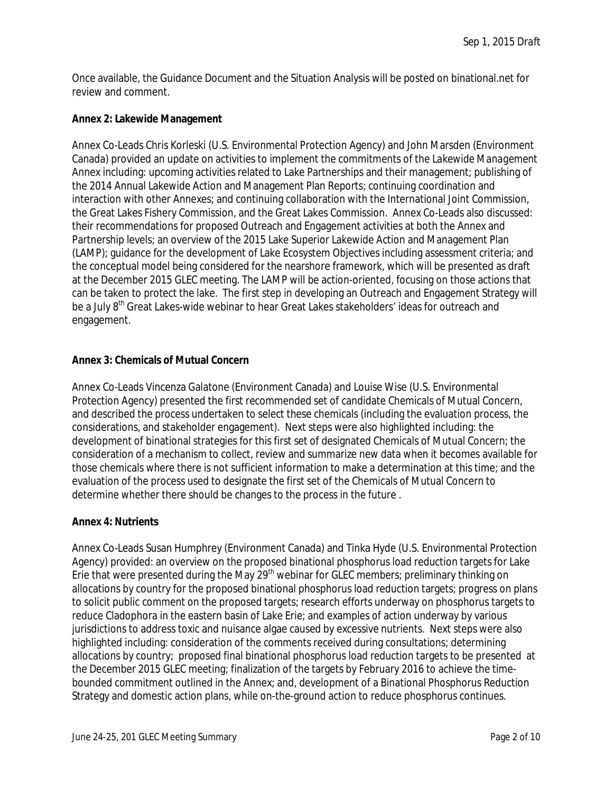Once available, the Guidance Document and the Situation Analysis will be posted on binational.net for review and comment.

## **Annex 2: Lakewide Management**

Annex Co-Leads Chris Korleski (U.S. Environmental Protection Agency) and John Marsden (Environment Canada) provided an update on activities to implement the commitments of the *Lakewide Management* Annex including: upcoming activities related to Lake Partnerships and their management; publishing of the 2014 Annual Lakewide Action and Management Plan Reports; continuing coordination and interaction with other Annexes; and continuing collaboration with the International Joint Commission, the Great Lakes Fishery Commission, and the Great Lakes Commission. Annex Co-Leads also discussed: their recommendations for proposed Outreach and Engagement activities at both the Annex and Partnership levels; an overview of the 2015 Lake Superior Lakewide Action and Management Plan (LAMP); guidance for the development of Lake Ecosystem Objectives including assessment criteria; and the conceptual model being considered for the nearshore framework, which will be presented as draft at the December 2015 GLEC meeting. The LAMP will be action-oriented, focusing on those actions that can be taken to protect the lake. The first step in developing an Outreach and Engagement Strategy will be a July 8<sup>th</sup> Great Lakes-wide webinar to hear Great Lakes stakeholders' ideas for outreach and engagement.

## **Annex 3: Chemicals of Mutual Concern**

Annex Co-Leads Vincenza Galatone (Environment Canada) and Louise Wise (U.S. Environmental Protection Agency) presented the first recommended set of candidate Chemicals of Mutual Concern, and described the process undertaken to select these chemicals (including the evaluation process, the considerations, and stakeholder engagement). Next steps were also highlighted including: the development of binational strategies for this first set of designated Chemicals of Mutual Concern; the consideration of a mechanism to collect, review and summarize new data when it becomes available for those chemicals where there is not sufficient information to make a determination at this time; and the evaluation of the process used to designate the first set of the Chemicals of Mutual Concern to determine whether there should be changes to the process in the future .

#### **Annex 4: Nutrients**

Annex Co-Leads Susan Humphrey (Environment Canada) and Tinka Hyde (U.S. Environmental Protection Agency) provided: an overview on the proposed binational phosphorus load reduction targets for Lake Erie that were presented during the May 29<sup>th</sup> webinar for GLEC members; preliminary thinking on allocations by country for the proposed binational phosphorus load reduction targets; progress on plans to solicit public comment on the proposed targets; research efforts underway on phosphorus targets to reduce Cladophora in the eastern basin of Lake Erie; and examples of action underway by various jurisdictions to address toxic and nuisance algae caused by excessive nutrients. Next steps were also highlighted including: consideration of the comments received during consultations; determining allocations by country; proposed final binational phosphorus load reduction targets to be presented at the December 2015 GLEC meeting; finalization of the targets by February 2016 to achieve the timebounded commitment outlined in the Annex; and, development of a Binational Phosphorus Reduction Strategy and domestic action plans, while on-the-ground action to reduce phosphorus continues.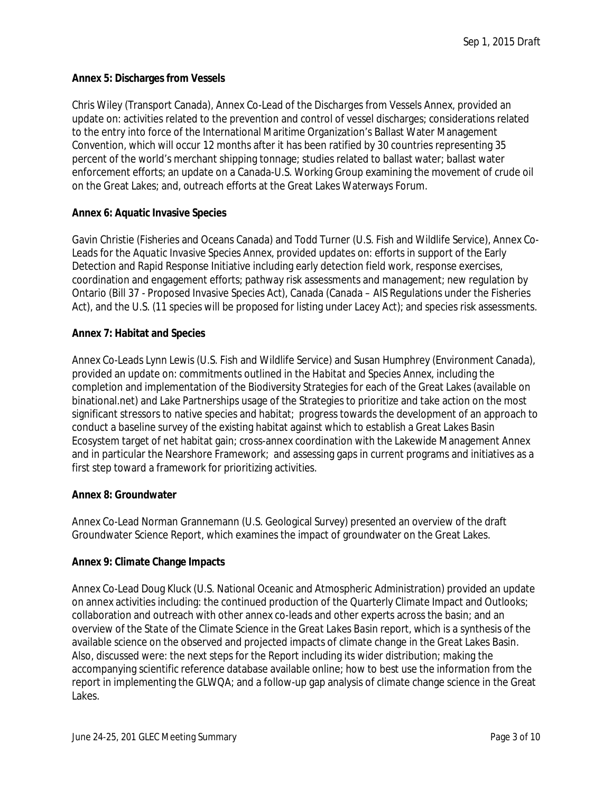## **Annex 5: Discharges from Vessels**

Chris Wiley (Transport Canada), Annex Co-Lead of the *Discharges from Vessels* Annex, provided an update on: activities related to the prevention and control of vessel discharges; considerations related to the entry into force of the International Maritime Organization's Ballast Water Management Convention, which will occur 12 months after it has been ratified by 30 countries representing 35 percent of the world's merchant shipping tonnage; studies related to ballast water; ballast water enforcement efforts; an update on a Canada-U.S. Working Group examining the movement of crude oil on the Great Lakes; and, outreach efforts at the Great Lakes Waterways Forum.

## **Annex 6: Aquatic Invasive Species**

Gavin Christie (Fisheries and Oceans Canada) and Todd Turner (U.S. Fish and Wildlife Service), Annex Co-Leads for the *Aquatic Invasive Species* Annex, provided updates on: efforts in support of the Early Detection and Rapid Response Initiative including early detection field work, response exercises, coordination and engagement efforts; pathway risk assessments and management; new regulation by Ontario (Bill 37 - Proposed Invasive Species Act), Canada (Canada – AIS Regulations under the Fisheries Act), and the U.S. (11 species will be proposed for listing under Lacey Act); and species risk assessments.

## **Annex 7: Habitat and Species**

Annex Co-Leads Lynn Lewis (U.S. Fish and Wildlife Service) and Susan Humphrey (Environment Canada), provided an update on: commitments outlined in the *Habitat and Species* Annex, including the completion and implementation of the Biodiversity Strategies for each of the Great Lakes (available on binational.net) and Lake Partnerships usage of the Strategies to prioritize and take action on the most significant stressors to native species and habitat; progress towards the development of an approach to conduct a baseline survey of the existing habitat against which to establish a Great Lakes Basin Ecosystem target of net habitat gain; cross-annex coordination with the Lakewide Management Annex and in particular the Nearshore Framework; and assessing gaps in current programs and initiatives as a first step toward a framework for prioritizing activities.

## **Annex 8: Groundwater**

Annex Co-Lead Norman Grannemann (U.S. Geological Survey) presented an overview of the draft Groundwater Science Report, which examines the impact of groundwater on the Great Lakes.

#### **Annex 9: Climate Change Impacts**

Annex Co-Lead Doug Kluck (U.S. National Oceanic and Atmospheric Administration) provided an update on annex activities including: the continued production of the Quarterly Climate Impact and Outlooks; collaboration and outreach with other annex co-leads and other experts across the basin; and an overview of the *State of the Climate Science in the Great Lakes Basin* report, which is a synthesis of the available science on the observed and projected impacts of climate change in the Great Lakes Basin. Also, discussed were: the next steps for the Report including its wider distribution; making the accompanying scientific reference database available online; how to best use the information from the report in implementing the GLWQA; and a follow-up gap analysis of climate change science in the Great Lakes.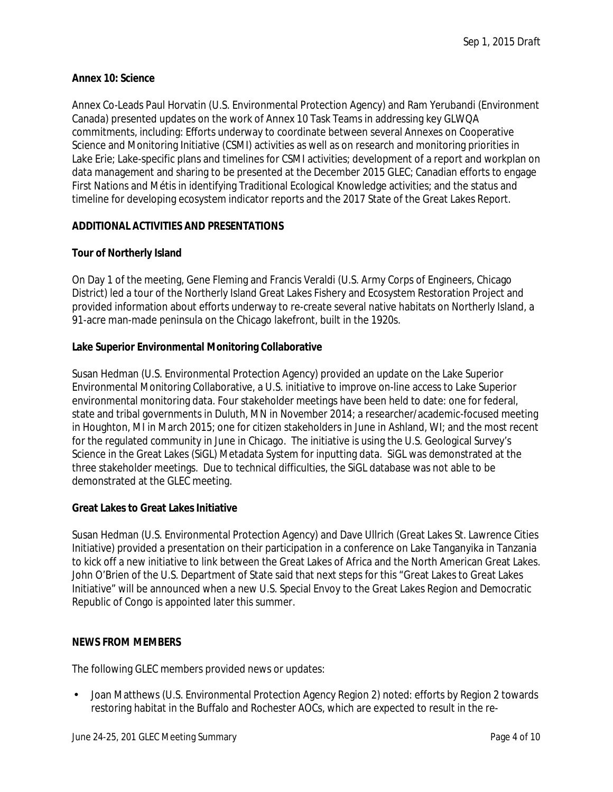## **Annex 10: Science**

Annex Co-Leads Paul Horvatin (U.S. Environmental Protection Agency) and Ram Yerubandi (Environment Canada) presented updates on the work of Annex 10 Task Teams in addressing key GLWQA commitments, including: Efforts underway to coordinate between several Annexes on Cooperative Science and Monitoring Initiative (CSMI) activities as well as on research and monitoring priorities in Lake Erie; Lake-specific plans and timelines for CSMI activities; development of a report and workplan on data management and sharing to be presented at the December 2015 GLEC; Canadian efforts to engage First Nations and Métis in identifying Traditional Ecological Knowledge activities; and the status and timeline for developing ecosystem indicator reports and the 2017 State of the Great Lakes Report.

## **ADDITIONAL ACTIVITIES AND PRESENTATIONS**

## **Tour of Northerly Island**

On Day 1 of the meeting, Gene Fleming and Francis Veraldi (U.S. Army Corps of Engineers, Chicago District) led a tour of the Northerly Island Great Lakes Fishery and Ecosystem Restoration Project and provided information about efforts underway to re-create several native habitats on Northerly Island, a 91-acre man-made peninsula on the Chicago lakefront, built in the 1920s.

## **Lake Superior Environmental Monitoring Collaborative**

Susan Hedman (U.S. Environmental Protection Agency) provided an update on the Lake Superior Environmental Monitoring Collaborative, a U.S. initiative to improve on-line access to Lake Superior environmental monitoring data. Four stakeholder meetings have been held to date: one for federal, state and tribal governments in Duluth, MN in November 2014; a researcher/academic-focused meeting in Houghton, MI in March 2015; one for citizen stakeholders in June in Ashland, WI; and the most recent for the regulated community in June in Chicago. The initiative is using the U.S. Geological Survey's Science in the Great Lakes (SiGL) Metadata System for inputting data. SiGL was demonstrated at the three stakeholder meetings. Due to technical difficulties, the SiGL database was not able to be demonstrated at the GLEC meeting.

#### **Great Lakes to Great Lakes Initiative**

Susan Hedman (U.S. Environmental Protection Agency) and Dave Ullrich (Great Lakes St. Lawrence Cities Initiative) provided a presentation on their participation in a conference on Lake Tanganyika in Tanzania to kick off a new initiative to link between the Great Lakes of Africa and the North American Great Lakes. John O'Brien of the U.S. Department of State said that next steps for this "Great Lakes to Great Lakes Initiative" will be announced when a new U.S. Special Envoy to the Great Lakes Region and Democratic Republic of Congo is appointed later this summer.

## **NEWS FROM MEMBERS**

The following GLEC members provided news or updates:

Joan Matthews (U.S. Environmental Protection Agency Region 2) noted: efforts by Region 2 towards restoring habitat in the Buffalo and Rochester AOCs, which are expected to result in the re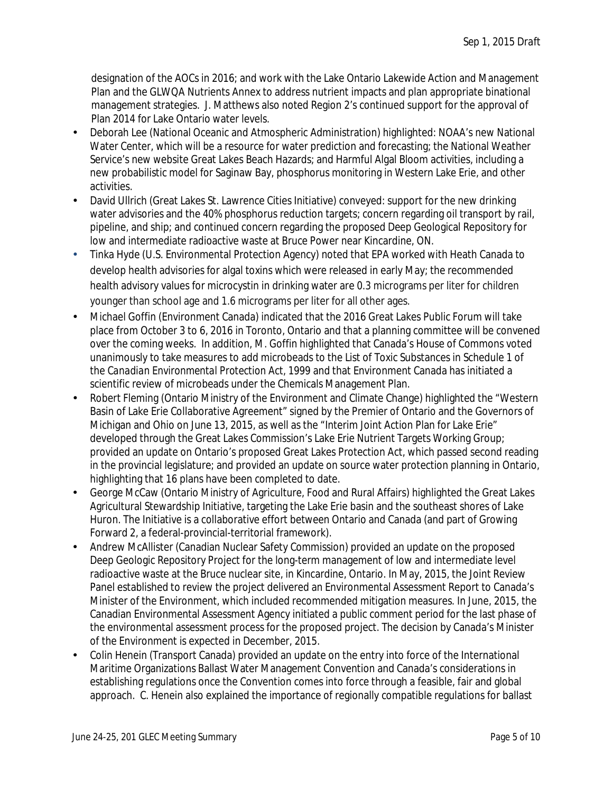designation of the AOCs in 2016; and work with the Lake Ontario Lakewide Action and Management Plan and the GLWQA Nutrients Annex to address nutrient impacts and plan appropriate binational management strategies. J. Matthews also noted Region 2's continued support for the approval of Plan 2014 for Lake Ontario water levels.

- Deborah Lee (National Oceanic and Atmospheric Administration) highlighted: NOAA's new National Water Center, which will be a resource for water prediction and forecasting; the National Weather Service's new website Great Lakes Beach Hazards; and Harmful Algal Bloom activities, including a new probabilistic model for Saginaw Bay, phosphorus monitoring in Western Lake Erie, and other activities.
- David Ullrich (Great Lakes St. Lawrence Cities Initiative) conveyed: support for the new drinking water advisories and the 40% phosphorus reduction targets; concern regarding oil transport by rail, pipeline, and ship; and continued concern regarding the proposed Deep Geological Repository for low and intermediate radioactive waste at Bruce Power near Kincardine, ON.
- Tinka Hyde (U.S. Environmental Protection Agency) noted that EPA worked with Heath Canada to develop health advisories for algal toxins which were released in early May; the recommended health advisory values for microcystin in drinking water are 0.3 micrograms per liter for children younger than school age and 1.6 micrograms per liter for all other ages.
- Michael Goffin (Environment Canada) indicated that the 2016 Great Lakes Public Forum will take place from October 3 to 6, 2016 in Toronto, Ontario and that a planning committee will be convened over the coming weeks. In addition, M. Goffin highlighted that Canada's House of Commons voted unanimously to take measures to add microbeads to the List of Toxic Substances in Schedule 1 of the *Canadian Environmental Protection Act, 1999* and that Environment Canada has initiated a scientific review of microbeads under the Chemicals Management Plan.
- Robert Fleming (Ontario Ministry of the Environment and Climate Change) highlighted the "Western Basin of Lake Erie Collaborative Agreement" signed by the Premier of Ontario and the Governors of Michigan and Ohio on June 13, 2015, as well as the "Interim Joint Action Plan for Lake Erie" developed through the Great Lakes Commission's Lake Erie Nutrient Targets Working Group; provided an update on Ontario's proposed Great Lakes Protection Act, which passed second reading in the provincial legislature; and provided an update on source water protection planning in Ontario, highlighting that 16 plans have been completed to date.
- George McCaw (Ontario Ministry of Agriculture, Food and Rural Affairs) highlighted the Great Lakes Agricultural Stewardship Initiative, targeting the Lake Erie basin and the southeast shores of Lake Huron. The Initiative is a collaborative effort between Ontario and Canada (and part of Growing Forward 2, a federal-provincial-territorial framework).
- Andrew McAllister (Canadian Nuclear Safety Commission) provided an update on the proposed Deep Geologic Repository Project for the long-term management of low and intermediate level radioactive waste at the Bruce nuclear site, in Kincardine, Ontario. In May, 2015, the Joint Review Panel established to review the project delivered an Environmental Assessment Report to Canada's Minister of the Environment, which included recommended mitigation measures. In June, 2015, the Canadian Environmental Assessment Agency initiated a public comment period for the last phase of the environmental assessment process for the proposed project. The decision by Canada's Minister of the Environment is expected in December, 2015.
- Colin Henein (Transport Canada) provided an update on the entry into force of the International Maritime Organizations Ballast Water Management Convention and Canada's considerations in establishing regulations once the Convention comes into force through a feasible, fair and global approach. C. Henein also explained the importance of regionally compatible regulations for ballast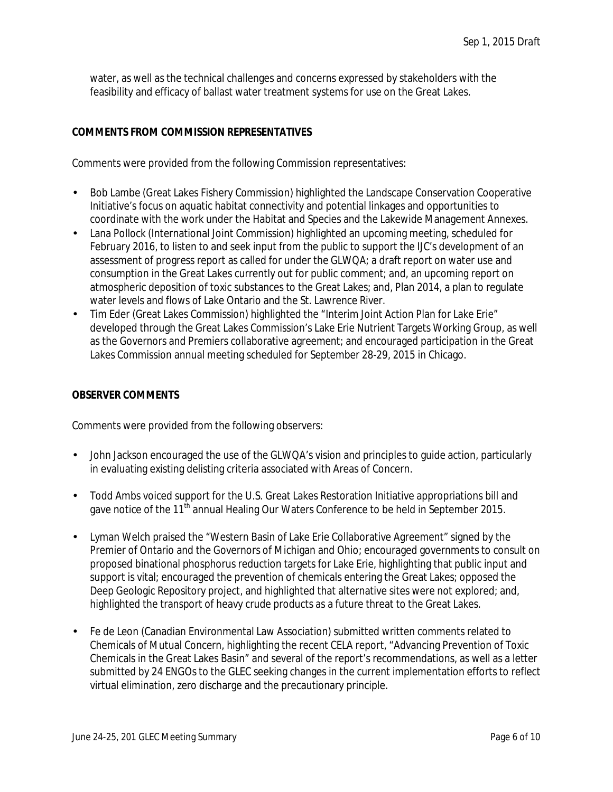water, as well as the technical challenges and concerns expressed by stakeholders with the feasibility and efficacy of ballast water treatment systems for use on the Great Lakes.

## **COMMENTS FROM COMMISSION REPRESENTATIVES**

Comments were provided from the following Commission representatives:

- Bob Lambe (Great Lakes Fishery Commission) highlighted the Landscape Conservation Cooperative Initiative's focus on aquatic habitat connectivity and potential linkages and opportunities to coordinate with the work under the Habitat and Species and the Lakewide Management Annexes.
- Lana Pollock (International Joint Commission) highlighted an upcoming meeting, scheduled for February 2016, to listen to and seek input from the public to support the IJC's development of an assessment of progress report as called for under the GLWQA; a draft report on water use and consumption in the Great Lakes currently out for public comment; and, an upcoming report on atmospheric deposition of toxic substances to the Great Lakes; and, Plan 2014, a plan to regulate water levels and flows of Lake Ontario and the St. Lawrence River.
- Tim Eder (Great Lakes Commission) highlighted the "Interim Joint Action Plan for Lake Erie" developed through the Great Lakes Commission's Lake Erie Nutrient Targets Working Group, as well as the Governors and Premiers collaborative agreement; and encouraged participation in the Great Lakes Commission annual meeting scheduled for September 28-29, 2015 in Chicago.

### **OBSERVER COMMENTS**

Comments were provided from the following observers:

- John Jackson encouraged the use of the GLWQA's vision and principles to guide action, particularly in evaluating existing delisting criteria associated with Areas of Concern.
- Todd Ambs voiced support for the U.S. Great Lakes Restoration Initiative appropriations bill and gave notice of the 11<sup>th</sup> annual Healing Our Waters Conference to be held in September 2015.
- Lyman Welch praised the "Western Basin of Lake Erie Collaborative Agreement" signed by the Premier of Ontario and the Governors of Michigan and Ohio; encouraged governments to consult on proposed binational phosphorus reduction targets for Lake Erie, highlighting that public input and support is vital; encouraged the prevention of chemicals entering the Great Lakes; opposed the Deep Geologic Repository project, and highlighted that alternative sites were not explored; and, highlighted the transport of heavy crude products as a future threat to the Great Lakes.
- Fe de Leon (Canadian Environmental Law Association) submitted written comments related to Chemicals of Mutual Concern, highlighting the recent CELA report, "Advancing Prevention of Toxic Chemicals in the Great Lakes Basin" and several of the report's recommendations, as well as a letter submitted by 24 ENGOs to the GLEC seeking changes in the current implementation efforts to reflect virtual elimination, zero discharge and the precautionary principle.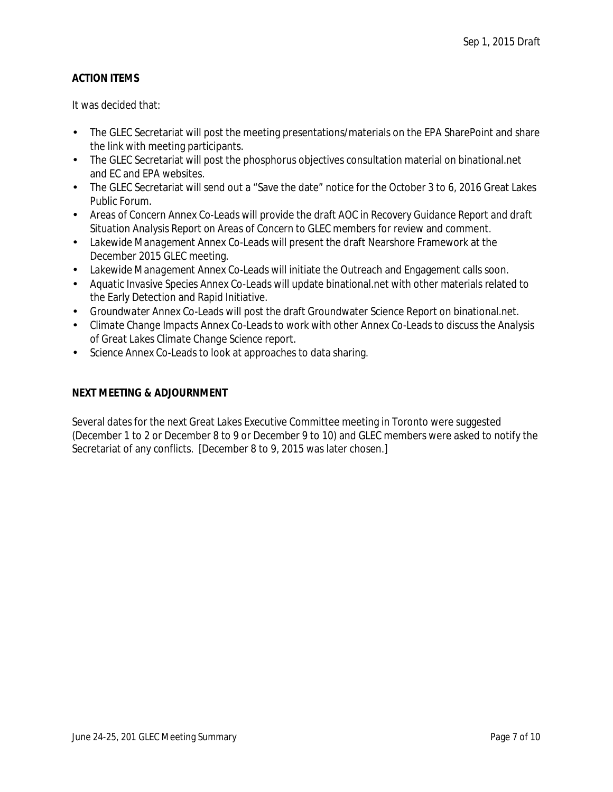# **ACTION ITEMS**

It was decided that:

- The GLEC Secretariat will post the meeting presentations/materials on the EPA SharePoint and share the link with meeting participants.
- The GLEC Secretariat will post the phosphorus objectives consultation material on binational.net  $\mathcal{L}^{\mathcal{L}}$ and EC and EPA websites.
- The GLEC Secretariat will send out a "Save the date" notice for the October 3 to 6, 2016 Great Lakes Public Forum.
- *Areas of Concern* Annex Co-Leads will provide the draft *AOC in Recovery Guidance Report* and draft *Situation Analysis Report on Areas of Concern* to GLEC members for review and comment.
- *Lakewide Management* Annex Co-Leads will present the draft Nearshore Framework at the December 2015 GLEC meeting.
- *Lakewide Management* Annex Co-Leads will initiate the Outreach and Engagement calls soon.
- *Aquatic Invasive Species* Annex Co-Leads will update binational.net with other materials related to the Early Detection and Rapid Initiative.
- *Groundwater* Annex Co-Leads will post the draft Groundwater Science Report on binational.net.
- *Climate Change Impacts* Annex Co-Leads to work with other Annex Co-Leads to discuss the *Analysis of Great Lakes Climate Change Science* report.
- *Science* Annex Co-Leads to look at approaches to data sharing.

## **NEXT MEETING & ADJOURNMENT**

Several dates for the next Great Lakes Executive Committee meeting in Toronto were suggested (December 1 to 2 or December 8 to 9 or December 9 to 10) and GLEC members were asked to notify the Secretariat of any conflicts. [December 8 to 9, 2015 was later chosen.]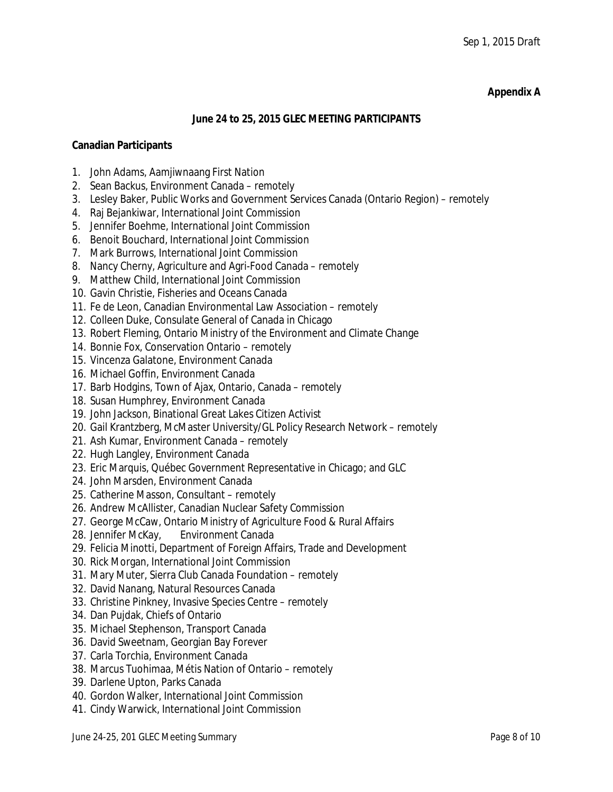## **Appendix A**

### **June 24 to 25, 2015 GLEC MEETING PARTICIPANTS**

### **Canadian Participants**

- 1. John Adams, Aamjiwnaang First Nation
- 2. Sean Backus, Environment Canada *– remotely*
- 3. Lesley Baker, Public Works and Government Services Canada (Ontario Region) *– remotely*
- 4. Raj Bejankiwar, International Joint Commission
- 5. Jennifer Boehme, International Joint Commission
- 6. Benoit Bouchard, International Joint Commission
- 7. Mark Burrows, International Joint Commission
- 8. Nancy Cherny, Agriculture and Agri-Food Canada *– remotely*
- 9. Matthew Child, International Joint Commission
- 10. Gavin Christie, Fisheries and Oceans Canada
- 11. Fe de Leon, Canadian Environmental Law Association *– remotely*
- 12. Colleen Duke, Consulate General of Canada in Chicago
- 13. Robert Fleming, Ontario Ministry of the Environment and Climate Change
- 14. Bonnie Fox, Conservation Ontario *– remotely*
- 15. Vincenza Galatone, Environment Canada
- 16. Michael Goffin, Environment Canada
- 17. Barb Hodgins, Town of Ajax, Ontario, Canada *– remotely*
- 18. Susan Humphrey, Environment Canada
- 19. John Jackson, Binational Great Lakes Citizen Activist
- 20. Gail Krantzberg, McMaster University/GL Policy Research Network *– remotely*
- 21. Ash Kumar, Environment Canada *– remotely*
- 22. Hugh Langley, Environment Canada
- 23. Eric Marquis, Québec Government Representative in Chicago; and GLC
- 24. John Marsden, Environment Canada
- 25. Catherine Masson, Consultant *– remotely*
- 26. Andrew McAllister, Canadian Nuclear Safety Commission
- 27. George McCaw, Ontario Ministry of Agriculture Food & Rural Affairs
- 28. Jennifer McKay, Environment Canada
- 29. Felicia Minotti, Department of Foreign Affairs, Trade and Development
- 30. Rick Morgan, International Joint Commission
- 31. Mary Muter, Sierra Club Canada Foundation *– remotely*
- 32. David Nanang, Natural Resources Canada
- 33. Christine Pinkney, Invasive Species Centre *– remotely*
- 34. Dan Pujdak, Chiefs of Ontario
- 35. Michael Stephenson, Transport Canada
- 36. David Sweetnam, Georgian Bay Forever
- 37. Carla Torchia, Environment Canada
- 38. Marcus Tuohimaa, Métis Nation of Ontario *– remotely*
- 39. Darlene Upton, Parks Canada
- 40. Gordon Walker, International Joint Commission
- 41. Cindy Warwick, International Joint Commission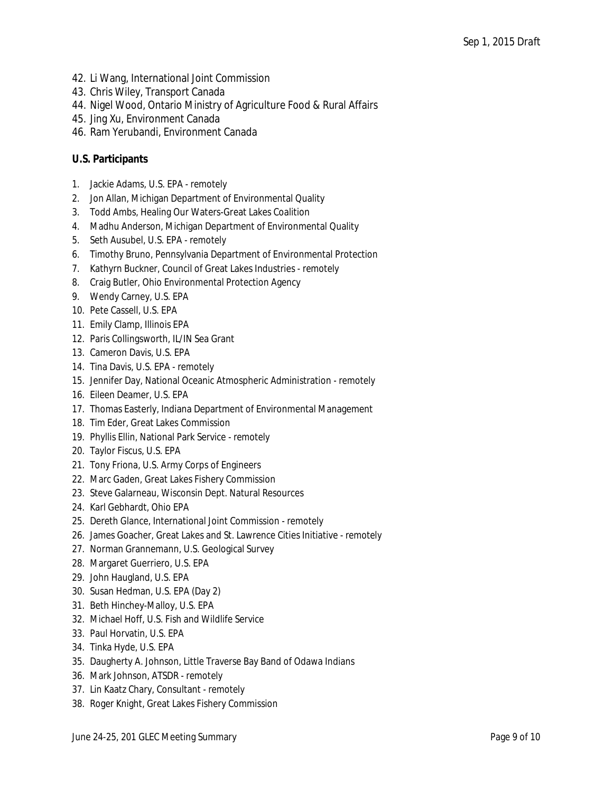- 42. Li Wang, International Joint Commission
- 43. Chris Wiley, Transport Canada
- 44. Nigel Wood, Ontario Ministry of Agriculture Food & Rural Affairs
- 45. Jing Xu, Environment Canada
- 46. Ram Yerubandi, Environment Canada

## **U.S. Participants**

- 1. Jackie Adams, U.S. EPA *remotely*
- 2. Jon Allan, Michigan Department of Environmental Quality
- 3. Todd Ambs, Healing Our Waters-Great Lakes Coalition
- 4. Madhu Anderson, Michigan Department of Environmental Quality
- 5. Seth Ausubel, U.S. EPA *remotely*
- 6. Timothy Bruno, Pennsylvania Department of Environmental Protection
- 7. Kathyrn Buckner, Council of Great Lakes Industries *remotely*
- 8. Craig Butler, Ohio Environmental Protection Agency
- 9. Wendy Carney, U.S. EPA
- 10. Pete Cassell, U.S. EPA
- 11. Emily Clamp, Illinois EPA
- 12. Paris Collingsworth, IL/IN Sea Grant
- 13. Cameron Davis, U.S. EPA
- 14. Tina Davis, U.S. EPA *remotely*
- 15. Jennifer Day, National Oceanic Atmospheric Administration *remotely*
- 16. Eileen Deamer, U.S. EPA
- 17. Thomas Easterly, Indiana Department of Environmental Management
- 18. Tim Eder, Great Lakes Commission
- 19. Phyllis Ellin, National Park Service *remotely*
- 20. Taylor Fiscus, U.S. EPA
- 21. Tony Friona, U.S. Army Corps of Engineers
- 22. Marc Gaden, Great Lakes Fishery Commission
- 23. Steve Galarneau, Wisconsin Dept. Natural Resources
- 24. Karl Gebhardt, Ohio EPA
- 25. Dereth Glance, International Joint Commission *remotely*
- 26. James Goacher, Great Lakes and St. Lawrence Cities Initiative *remotely*
- 27. Norman Grannemann, U.S. Geological Survey
- 28. Margaret Guerriero, U.S. EPA
- 29. John Haugland, U.S. EPA
- 30. Susan Hedman, U.S. EPA (Day 2)
- 31. Beth Hinchey-Malloy, U.S. EPA
- 32. Michael Hoff, U.S. Fish and Wildlife Service
- 33. Paul Horvatin, U.S. EPA
- 34. Tinka Hyde, U.S. EPA
- 35. Daugherty A. Johnson, Little Traverse Bay Band of Odawa Indians
- 36. Mark Johnson, ATSDR *remotely*
- 37. Lin Kaatz Chary, Consultant *remotely*
- 38. Roger Knight, Great Lakes Fishery Commission